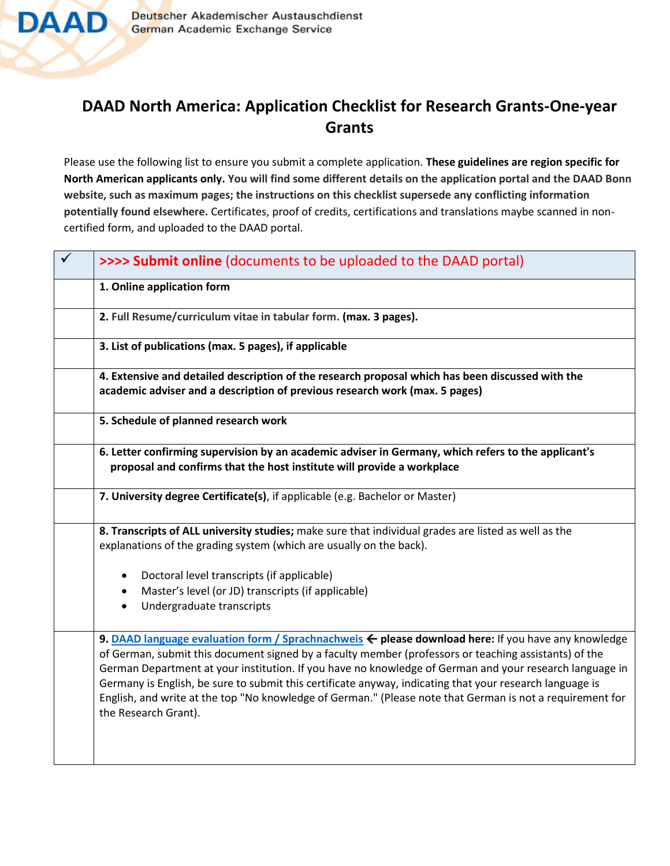

## **DAAD North America: Application Checklist for Research Grants-One-year Grants**

Please use the following list to ensure you submit a complete application. **These guidelines are region specific for North American applicants only. You will find some different details on the application portal and the DAAD Bonn website, such as maximum pages; the instructions on this checklist supersede any conflicting information potentially found elsewhere.** Certificates, proof of credits, certifications and translations maybe scanned in noncertified form, and uploaded to the DAAD portal.

| >>>> Submit online (documents to be uploaded to the DAAD portal)                                                                                                                                                                                                                                                                                                                                                                                                                                                                                                                    |
|-------------------------------------------------------------------------------------------------------------------------------------------------------------------------------------------------------------------------------------------------------------------------------------------------------------------------------------------------------------------------------------------------------------------------------------------------------------------------------------------------------------------------------------------------------------------------------------|
| 1. Online application form                                                                                                                                                                                                                                                                                                                                                                                                                                                                                                                                                          |
| 2. Full Resume/curriculum vitae in tabular form. (max. 3 pages).                                                                                                                                                                                                                                                                                                                                                                                                                                                                                                                    |
| 3. List of publications (max. 5 pages), if applicable                                                                                                                                                                                                                                                                                                                                                                                                                                                                                                                               |
| 4. Extensive and detailed description of the research proposal which has been discussed with the<br>academic adviser and a description of previous research work (max. 5 pages)                                                                                                                                                                                                                                                                                                                                                                                                     |
| 5. Schedule of planned research work                                                                                                                                                                                                                                                                                                                                                                                                                                                                                                                                                |
| 6. Letter confirming supervision by an academic adviser in Germany, which refers to the applicant's<br>proposal and confirms that the host institute will provide a workplace                                                                                                                                                                                                                                                                                                                                                                                                       |
| 7. University degree Certificate(s), if applicable (e.g. Bachelor or Master)                                                                                                                                                                                                                                                                                                                                                                                                                                                                                                        |
| 8. Transcripts of ALL university studies; make sure that individual grades are listed as well as the<br>explanations of the grading system (which are usually on the back).                                                                                                                                                                                                                                                                                                                                                                                                         |
| Doctoral level transcripts (if applicable)                                                                                                                                                                                                                                                                                                                                                                                                                                                                                                                                          |
| Master's level (or JD) transcripts (if applicable)<br>$\bullet$<br>Undergraduate transcripts<br>$\bullet$                                                                                                                                                                                                                                                                                                                                                                                                                                                                           |
| 9. DAAD language evaluation form / Sprachnachweis $\leftarrow$ please download here: If you have any knowledge<br>of German, submit this document signed by a faculty member (professors or teaching assistants) of the<br>German Department at your institution. If you have no knowledge of German and your research language in<br>Germany is English, be sure to submit this certificate anyway, indicating that your research language is<br>English, and write at the top "No knowledge of German." (Please note that German is not a requirement for<br>the Research Grant). |